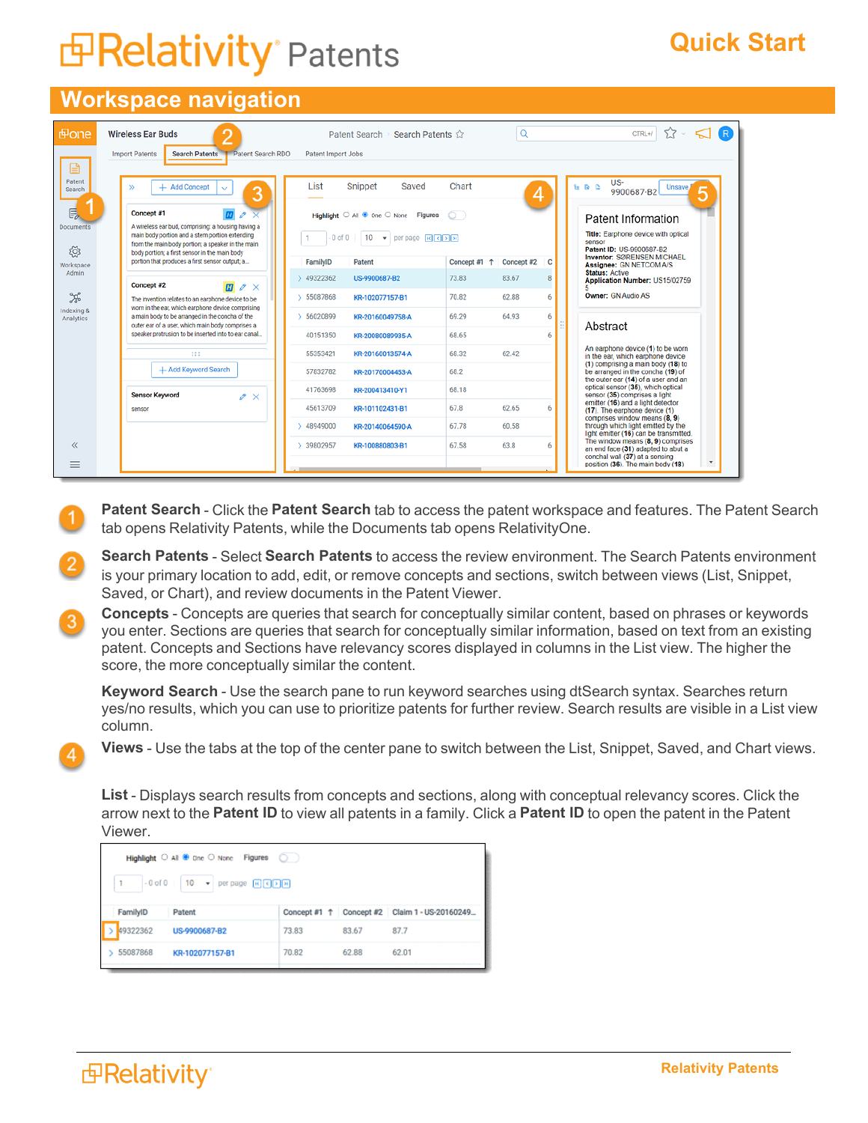## **E Relativity** Patents

## **Quick Start**

## **Workspace navigation**

| <b>Fone</b>             | ≏<br><b>Wireless Ear Buds</b>                                                                                                                                                                                                             | Patent Search<br>Search Patents <                                        | Q                          |              | CTRL+/<br>5.7                                                                                                  |  |
|-------------------------|-------------------------------------------------------------------------------------------------------------------------------------------------------------------------------------------------------------------------------------------|--------------------------------------------------------------------------|----------------------------|--------------|----------------------------------------------------------------------------------------------------------------|--|
| $\mathbf{r}$            | <b>Search Patents</b><br><b>Import Patents</b><br>Patent Search RDO                                                                                                                                                                       | Patent Import Jobs                                                       |                            |              |                                                                                                                |  |
| Patent<br>Search        | + Add Concept<br>$\mathcal{D}$<br>$\checkmark$<br>3                                                                                                                                                                                       | Snippet<br>List<br>Saved                                                 | Chart                      | 4            | US-<br>ts Go Co<br>Unsave,<br>9900687-B2<br>5                                                                  |  |
| 目。<br><b>Documents</b>  | Concept #1<br>A wireless ear bud, comprising: a housing having a                                                                                                                                                                          | Highlight $\bigcirc$ All $\bullet$ One $\bigcirc$ None<br><b>Figures</b> | 0)                         |              | Patent Information                                                                                             |  |
| ද්රි                    | Title: Earphone device with optical<br>main body portion and a stem portion extending<br>$-0$ of $0$<br>10<br>per page R C E E<br>$\mathbf{v}$<br>sensor<br>from the main body portion; a speaker in the main<br>Patent ID: US-9900687-B2 |                                                                          |                            |              |                                                                                                                |  |
| Workspace               | body portion; a first sensor in the main body<br>portion that produces a first sensor output; a                                                                                                                                           | FamilyID<br>Patent                                                       | Concept #1 1<br>Concept #2 | c            | Inventor: SØRENSEN MICHAEL<br>Assignee: GN NETCOM A/S                                                          |  |
| Admin                   | Concept #2<br>$\mathbf{m}$<br>$\mathscr{O} \times$                                                                                                                                                                                        | $\geq 49322362$<br>US-9900687-B2                                         | 83.67<br>73.83             | $\mathbf{R}$ | <b>Status: Active</b><br>Application Number: US15/02759                                                        |  |
| ್ಯೂ                     | The invention relates to an earphone device to be                                                                                                                                                                                         | 55087868<br>KR-102077157-B1                                              | 70.82<br>62.88             | 6            | <b>Owner: GN Audio AS</b>                                                                                      |  |
| Indexing &<br>Analytics | worn in the ear, which earphone device comprising<br>a main body to be arranged in the concha of the<br>outer ear of a user, which main body comprises a                                                                                  | 56020899<br>KR-20160049758-A                                             | 64.93<br>69.29             | 6            |                                                                                                                |  |
|                         | speaker protrusion to be inserted into to ear canal                                                                                                                                                                                       | 40151350<br>KR-20080089935-A                                             | 68.65                      | 6            | Abstract                                                                                                       |  |
|                         | :::                                                                                                                                                                                                                                       | 55353421<br>KR-20160013574-A                                             | 68.32<br>62.42             |              | An earphone device (1) to be worn<br>in the ear, which earphone device                                         |  |
|                         | + Add Keyword Search                                                                                                                                                                                                                      | 57832782<br>KR-20170004453-A                                             | 68.2                       |              | (1) comprising a main body (18) to<br>be arranged in the concha (19) of<br>the outer ear (14) of a user and an |  |
|                         | <b>Sensor Keyword</b><br>$\mathscr{O} \times$                                                                                                                                                                                             | 41763698<br>KR-200413410-Y1                                              | 68.18                      |              | optical sensor (35), which optical<br>sensor (35) comprises a light                                            |  |
|                         | sensor                                                                                                                                                                                                                                    | 45613709<br>KR-101102431-B1                                              | 67.8<br>62.65              | 6            | emitter (16) and a light detector<br>(17). The earphone device (1)                                             |  |
|                         |                                                                                                                                                                                                                                           | 48949000<br>KR-20140064590-A                                             | 67.78<br>60.58             |              | comprises window means (8, 9)<br>through which light emitted by the<br>light emitter (16) can be transmitted.  |  |
| $\ll$                   |                                                                                                                                                                                                                                           | > 39802957<br>KR-100880803-B1                                            | 63.8<br>67.58              | 6            | The window means (8, 9) comprises<br>an end face (31) adapted to abut a                                        |  |
| =                       |                                                                                                                                                                                                                                           |                                                                          |                            |              | conchal wall (37) at a sensing<br>position (36). The main body (18)                                            |  |

**Patent Search** - Click the **Patent Search** tab to access the patent workspace and features. The Patent Search tab opens Relativity Patents, while the Documents tab opens RelativityOne.

**Search Patents** - Select **Search Patents** to access the review environment. The Search Patents environment is your primary location to add, edit, or remove concepts and sections, switch between views (List, Snippet, Saved, or Chart), and review documents in the Patent Viewer.

**Concepts** - Concepts are queries that search for conceptually similar content, based on phrases or keywords 3 you enter. Sections are queries that search for conceptually similar information, based on text from an existing patent. Concepts and Sections have relevancy scores displayed in columns in the List view. The higher the score, the more conceptually similar the content.

**Keyword Search** - Use the search pane to run keyword searches using dtSearch syntax. Searches return yes/no results, which you can use to prioritize patents for further review. Search results are visible in a List view column.

**Views** - Use the tabs at the top of the center pane to switch between the List, Snippet, Saved, and Chart views.

**List** - Displays search results from concepts and sections, along with conceptual relevancy scores. Click the arrow next to the **Patent ID** to view all patents in a family. Click a **Patent ID** to open the patent in the Patent Viewer.

| Highlight $\bigcirc$ All $\bigcirc$ one $\bigcirc$ None Figures $\bigcirc$                                                     |       |       |                                               |  |  |  |  |  |
|--------------------------------------------------------------------------------------------------------------------------------|-------|-------|-----------------------------------------------|--|--|--|--|--|
| $-0$ of $0$   10 $\rightarrow$   per page $\lceil \mathcal{R} \rceil \lceil \mathcal{R} \rceil \lceil \mathcal{R} \rceil$<br>1 |       |       |                                               |  |  |  |  |  |
| FamilyID<br>Patent                                                                                                             |       |       | Concept #1 1 Concept #2 Claim 1 - US-20160249 |  |  |  |  |  |
| 49322362<br>US-9900687-B2                                                                                                      | 73.83 | 83.67 | 87.7                                          |  |  |  |  |  |
| 55087868<br>KR-102077157-B1                                                                                                    | 70.82 | 62.88 | 62.01                                         |  |  |  |  |  |